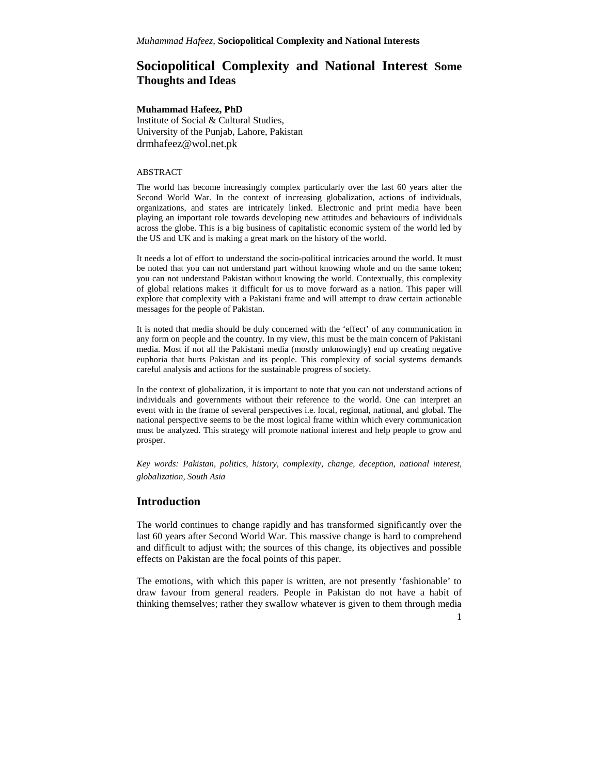# **Sociopolitical Complexity and National Interest Some Thoughts and Ideas**

### **Muhammad Hafeez, PhD**

Institute of Social & Cultural Studies, University of the Punjab, Lahore, Pakistan drmhafeez@wol.net.pk

#### ABSTRACT

The world has become increasingly complex particularly over the last 60 years after the Second World War. In the context of increasing globalization, actions of individuals, organizations, and states are intricately linked. Electronic and print media have been playing an important role towards developing new attitudes and behaviours of individuals across the globe. This is a big business of capitalistic economic system of the world led by the US and UK and is making a great mark on the history of the world.

It needs a lot of effort to understand the socio-political intricacies around the world. It must be noted that you can not understand part without knowing whole and on the same token; you can not understand Pakistan without knowing the world. Contextually, this complexity of global relations makes it difficult for us to move forward as a nation. This paper will explore that complexity with a Pakistani frame and will attempt to draw certain actionable messages for the people of Pakistan.

It is noted that media should be duly concerned with the 'effect' of any communication in any form on people and the country. In my view, this must be the main concern of Pakistani media. Most if not all the Pakistani media (mostly unknowingly) end up creating negative euphoria that hurts Pakistan and its people. This complexity of social systems demands careful analysis and actions for the sustainable progress of society.

In the context of globalization, it is important to note that you can not understand actions of individuals and governments without their reference to the world. One can interpret an event with in the frame of several perspectives i.e. local, regional, national, and global. The national perspective seems to be the most logical frame within which every communication must be analyzed. This strategy will promote national interest and help people to grow and prosper.

*Key words: Pakistan, politics, history, complexity, change, deception, national interest, globalization, South Asia*

## **Introduction**

The world continues to change rapidly and has transformed significantly over the last 60 years after Second World War. This massive change is hard to comprehend and difficult to adjust with; the sources of this change, its objectives and possible effects on Pakistan are the focal points of this paper.

The emotions, with which this paper is written, are not presently 'fashionable' to draw favour from general readers. People in Pakistan do not have a habit of thinking themselves; rather they swallow whatever is given to them through media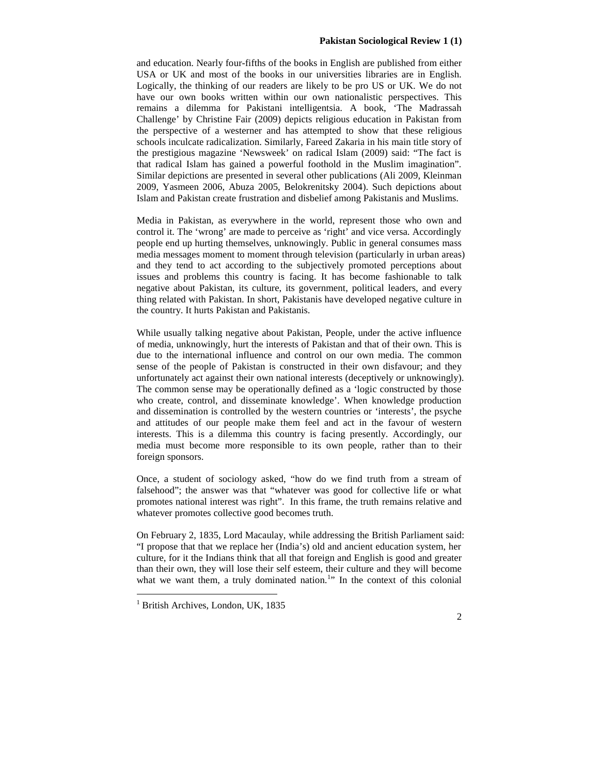and education. Nearly four-fifths of the books in English are published from either USA or UK and most of the books in our universities libraries are in English. Logically, the thinking of our readers are likely to be pro US or UK. We do not have our own books written within our own nationalistic perspectives. This remains a dilemma for Pakistani intelligentsia. A book, 'The Madrassah Challenge' by Christine Fair (2009) depicts religious education in Pakistan from the perspective of a westerner and has attempted to show that these religious schools inculcate radicalization. Similarly, Fareed Zakaria in his main title story of the prestigious magazine 'Newsweek' on radical Islam (2009) said: "The fact is that radical Islam has gained a powerful foothold in the Muslim imagination". Similar depictions are presented in several other publications (Ali 2009, Kleinman 2009, Yasmeen 2006, Abuza 2005, Belokrenitsky 2004). Such depictions about Islam and Pakistan create frustration and disbelief among Pakistanis and Muslims.

Media in Pakistan, as everywhere in the world, represent those who own and control it. The 'wrong' are made to perceive as 'right' and vice versa. Accordingly people end up hurting themselves, unknowingly. Public in general consumes mass media messages moment to moment through television (particularly in urban areas) and they tend to act according to the subjectively promoted perceptions about issues and problems this country is facing. It has become fashionable to talk negative about Pakistan, its culture, its government, political leaders, and every thing related with Pakistan. In short, Pakistanis have developed negative culture in the country. It hurts Pakistan and Pakistanis.

While usually talking negative about Pakistan, People, under the active influence of media, unknowingly, hurt the interests of Pakistan and that of their own. This is due to the international influence and control on our own media. The common sense of the people of Pakistan is constructed in their own disfavour; and they unfortunately act against their own national interests (deceptively or unknowingly). The common sense may be operationally defined as a 'logic constructed by those who create, control, and disseminate knowledge'. When knowledge production and dissemination is controlled by the western countries or 'interests', the psyche and attitudes of our people make them feel and act in the favour of western interests. This is a dilemma this country is facing presently. Accordingly, our media must become more responsible to its own people, rather than to their foreign sponsors.

Once, a student of sociology asked, "how do we find truth from a stream of falsehood"; the answer was that "whatever was good for collective life or what promotes national interest was right". In this frame, the truth remains relative and whatever promotes collective good becomes truth.

On February 2, 1835, Lord Macaulay, while addressing the British Parliament said: "I propose that that we replace her (India's) old and ancient education system, her culture, for it the Indians think that all that foreign and English is good and greater than their own, they will lose their self esteem, their culture and they will become what we want them, a truly dominated nation.<sup>1</sup>" In the context of this colonial

 $<sup>1</sup>$  British Archives, London, UK, 1835</sup>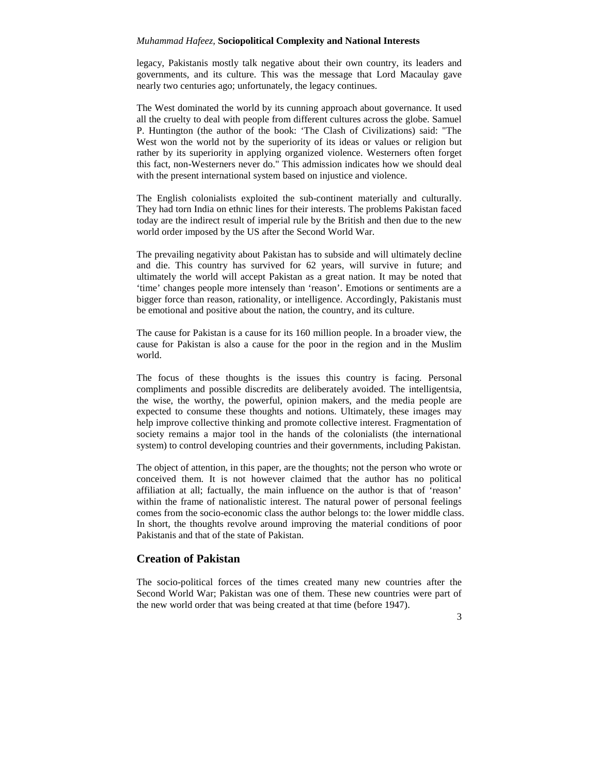legacy, Pakistanis mostly talk negative about their own country, its leaders and governments, and its culture. This was the message that Lord Macaulay gave nearly two centuries ago; unfortunately, the legacy continues.

The West dominated the world by its cunning approach about governance. It used all the cruelty to deal with people from different cultures across the globe. Samuel P. Huntington (the author of the book: 'The Clash of Civilizations) said: "The West won the world not by the superiority of its ideas or values or religion but rather by its superiority in applying organized violence. Westerners often forget this fact, non-Westerners never do." This admission indicates how we should deal with the present international system based on injustice and violence.

The English colonialists exploited the sub-continent materially and culturally. They had torn India on ethnic lines for their interests. The problems Pakistan faced today are the indirect result of imperial rule by the British and then due to the new world order imposed by the US after the Second World War.

The prevailing negativity about Pakistan has to subside and will ultimately decline and die. This country has survived for 62 years, will survive in future; and ultimately the world will accept Pakistan as a great nation. It may be noted that 'time' changes people more intensely than 'reason'. Emotions or sentiments are a bigger force than reason, rationality, or intelligence. Accordingly, Pakistanis must be emotional and positive about the nation, the country, and its culture.

The cause for Pakistan is a cause for its 160 million people. In a broader view, the cause for Pakistan is also a cause for the poor in the region and in the Muslim world.

The focus of these thoughts is the issues this country is facing. Personal compliments and possible discredits are deliberately avoided. The intelligentsia, the wise, the worthy, the powerful, opinion makers, and the media people are expected to consume these thoughts and notions. Ultimately, these images may help improve collective thinking and promote collective interest. Fragmentation of society remains a major tool in the hands of the colonialists (the international system) to control developing countries and their governments, including Pakistan.

The object of attention, in this paper, are the thoughts; not the person who wrote or conceived them. It is not however claimed that the author has no political affiliation at all; factually, the main influence on the author is that of 'reason' within the frame of nationalistic interest. The natural power of personal feelings comes from the socio-economic class the author belongs to: the lower middle class. In short, the thoughts revolve around improving the material conditions of poor Pakistanis and that of the state of Pakistan.

# **Creation of Pakistan**

The socio-political forces of the times created many new countries after the Second World War; Pakistan was one of them. These new countries were part of the new world order that was being created at that time (before 1947).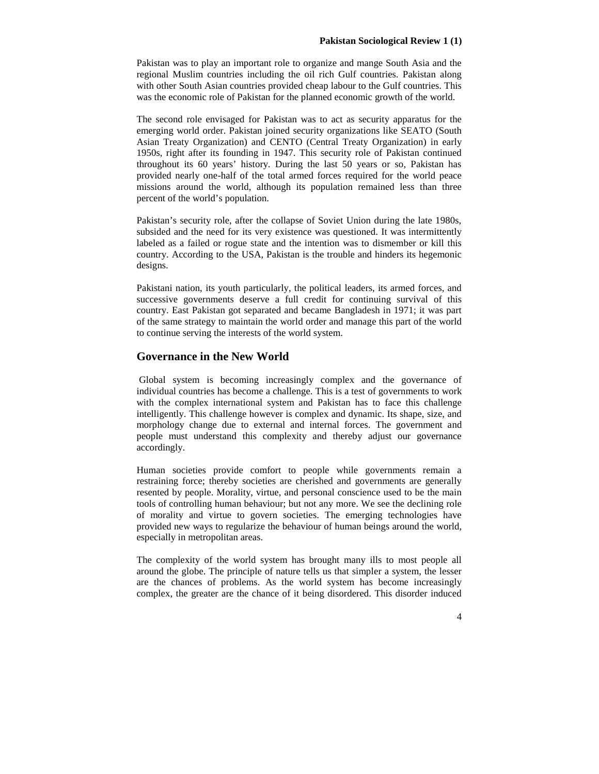Pakistan was to play an important role to organize and mange South Asia and the regional Muslim countries including the oil rich Gulf countries. Pakistan along with other South Asian countries provided cheap labour to the Gulf countries. This was the economic role of Pakistan for the planned economic growth of the world.

The second role envisaged for Pakistan was to act as security apparatus for the emerging world order. Pakistan joined security organizations like SEATO (South Asian Treaty Organization) and CENTO (Central Treaty Organization) in early 1950s, right after its founding in 1947. This security role of Pakistan continued throughout its 60 years' history. During the last 50 years or so, Pakistan has provided nearly one-half of the total armed forces required for the world peace missions around the world, although its population remained less than three percent of the world's population.

Pakistan's security role, after the collapse of Soviet Union during the late 1980s, subsided and the need for its very existence was questioned. It was intermittently labeled as a failed or rogue state and the intention was to dismember or kill this country. According to the USA, Pakistan is the trouble and hinders its hegemonic designs.

Pakistani nation, its youth particularly, the political leaders, its armed forces, and successive governments deserve a full credit for continuing survival of this country. East Pakistan got separated and became Bangladesh in 1971; it was part of the same strategy to maintain the world order and manage this part of the world to continue serving the interests of the world system.

## **Governance in the New World**

Global system is becoming increasingly complex and the governance of individual countries has become a challenge. This is a test of governments to work with the complex international system and Pakistan has to face this challenge intelligently. This challenge however is complex and dynamic. Its shape, size, and morphology change due to external and internal forces. The government and people must understand this complexity and thereby adjust our governance accordingly.

Human societies provide comfort to people while governments remain a restraining force; thereby societies are cherished and governments are generally resented by people. Morality, virtue, and personal conscience used to be the main tools of controlling human behaviour; but not any more. We see the declining role of morality and virtue to govern societies. The emerging technologies have provided new ways to regularize the behaviour of human beings around the world, especially in metropolitan areas.

The complexity of the world system has brought many ills to most people all around the globe. The principle of nature tells us that simpler a system, the lesser are the chances of problems. As the world system has become increasingly complex, the greater are the chance of it being disordered. This disorder induced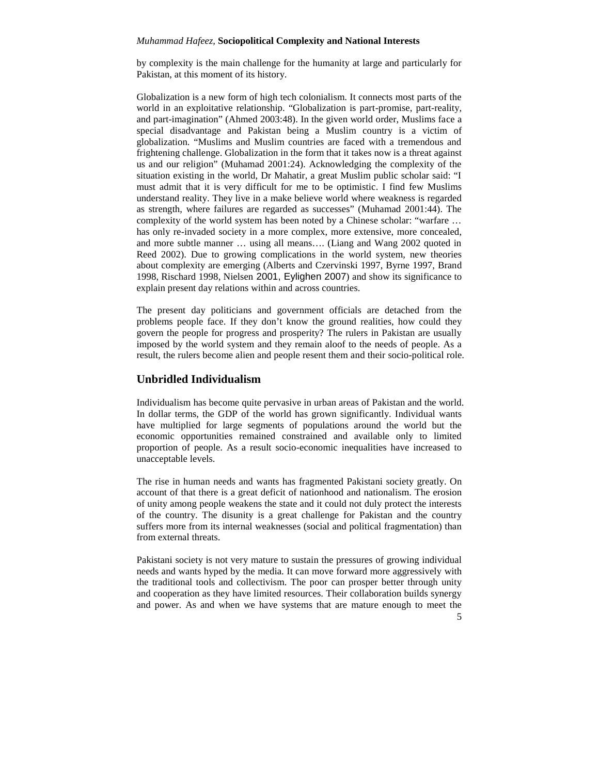by complexity is the main challenge for the humanity at large and particularly for Pakistan, at this moment of its history.

Globalization is a new form of high tech colonialism. It connects most parts of the world in an exploitative relationship. "Globalization is part-promise, part-reality, and part-imagination" (Ahmed 2003:48). In the given world order, Muslims face a special disadvantage and Pakistan being a Muslim country is a victim of globalization. "Muslims and Muslim countries are faced with a tremendous and frightening challenge. Globalization in the form that it takes now is a threat against us and our religion" (Muhamad 2001:24). Acknowledging the complexity of the situation existing in the world, Dr Mahatir, a great Muslim public scholar said: "I must admit that it is very difficult for me to be optimistic. I find few Muslims understand reality. They live in a make believe world where weakness is regarded as strength, where failures are regarded as successes" (Muhamad 2001:44). The complexity of the world system has been noted by a Chinese scholar: "warfare … has only re-invaded society in a more complex, more extensive, more concealed, and more subtle manner … using all means…. (Liang and Wang 2002 quoted in Reed 2002). Due to growing complications in the world system, new theories about complexity are emerging (Alberts and Czervinski 1997, Byrne 1997, Brand 1998, Rischard 1998, Nielsen 2001, Eylighen 2007) and show its significance to explain present day relations within and across countries.

The present day politicians and government officials are detached from the problems people face. If they don't know the ground realities, how could they govern the people for progress and prosperity? The rulers in Pakistan are usually imposed by the world system and they remain aloof to the needs of people. As a result, the rulers become alien and people resent them and their socio-political role.

# **Unbridled Individualism**

Individualism has become quite pervasive in urban areas of Pakistan and the world. In dollar terms, the GDP of the world has grown significantly. Individual wants have multiplied for large segments of populations around the world but the economic opportunities remained constrained and available only to limited proportion of people. As a result socio-economic inequalities have increased to unacceptable levels.

The rise in human needs and wants has fragmented Pakistani society greatly. On account of that there is a great deficit of nationhood and nationalism. The erosion of unity among people weakens the state and it could not duly protect the interests of the country. The disunity is a great challenge for Pakistan and the country suffers more from its internal weaknesses (social and political fragmentation) than from external threats.

Pakistani society is not very mature to sustain the pressures of growing individual needs and wants hyped by the media. It can move forward more aggressively with the traditional tools and collectivism. The poor can prosper better through unity and cooperation as they have limited resources. Their collaboration builds synergy and power. As and when we have systems that are mature enough to meet the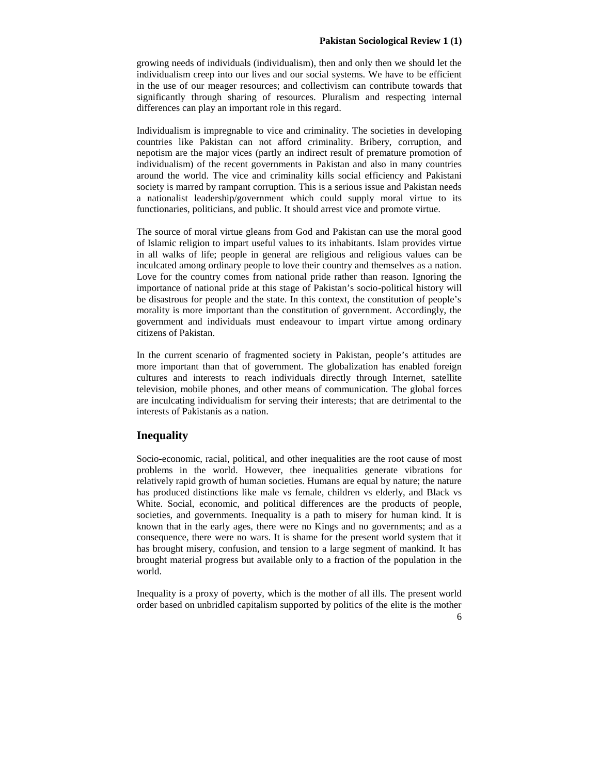growing needs of individuals (individualism), then and only then we should let the individualism creep into our lives and our social systems. We have to be efficient in the use of our meager resources; and collectivism can contribute towards that significantly through sharing of resources. Pluralism and respecting internal differences can play an important role in this regard.

Individualism is impregnable to vice and criminality. The societies in developing countries like Pakistan can not afford criminality. Bribery, corruption, and nepotism are the major vices (partly an indirect result of premature promotion of individualism) of the recent governments in Pakistan and also in many countries around the world. The vice and criminality kills social efficiency and Pakistani society is marred by rampant corruption. This is a serious issue and Pakistan needs a nationalist leadership/government which could supply moral virtue to its functionaries, politicians, and public. It should arrest vice and promote virtue.

The source of moral virtue gleans from God and Pakistan can use the moral good of Islamic religion to impart useful values to its inhabitants. Islam provides virtue in all walks of life; people in general are religious and religious values can be inculcated among ordinary people to love their country and themselves as a nation. Love for the country comes from national pride rather than reason. Ignoring the importance of national pride at this stage of Pakistan's socio-political history will be disastrous for people and the state. In this context, the constitution of people's morality is more important than the constitution of government. Accordingly, the government and individuals must endeavour to impart virtue among ordinary citizens of Pakistan.

In the current scenario of fragmented society in Pakistan, people's attitudes are more important than that of government. The globalization has enabled foreign cultures and interests to reach individuals directly through Internet, satellite television, mobile phones, and other means of communication. The global forces are inculcating individualism for serving their interests; that are detrimental to the interests of Pakistanis as a nation.

# **Inequality**

Socio-economic, racial, political, and other inequalities are the root cause of most problems in the world. However, thee inequalities generate vibrations for relatively rapid growth of human societies. Humans are equal by nature; the nature has produced distinctions like male vs female, children vs elderly, and Black vs White. Social, economic, and political differences are the products of people, societies, and governments. Inequality is a path to misery for human kind. It is known that in the early ages, there were no Kings and no governments; and as a consequence, there were no wars. It is shame for the present world system that it has brought misery, confusion, and tension to a large segment of mankind. It has brought material progress but available only to a fraction of the population in the world.

Inequality is a proxy of poverty, which is the mother of all ills. The present world order based on unbridled capitalism supported by politics of the elite is the mother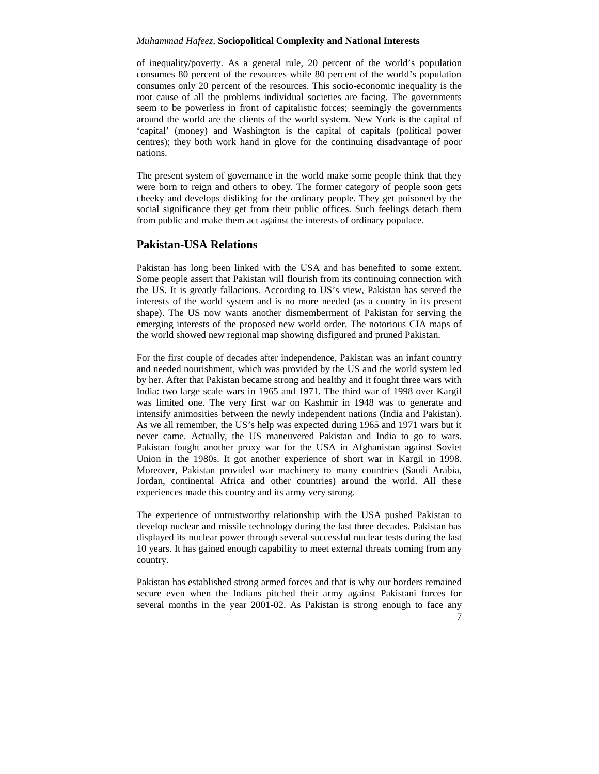of inequality/poverty. As a general rule, 20 percent of the world's population consumes 80 percent of the resources while 80 percent of the world's population consumes only 20 percent of the resources. This socio-economic inequality is the root cause of all the problems individual societies are facing. The governments seem to be powerless in front of capitalistic forces; seemingly the governments around the world are the clients of the world system. New York is the capital of 'capital' (money) and Washington is the capital of capitals (political power centres); they both work hand in glove for the continuing disadvantage of poor nations.

The present system of governance in the world make some people think that they were born to reign and others to obey. The former category of people soon gets cheeky and develops disliking for the ordinary people. They get poisoned by the social significance they get from their public offices. Such feelings detach them from public and make them act against the interests of ordinary populace.

## **Pakistan-USA Relations**

Pakistan has long been linked with the USA and has benefited to some extent. Some people assert that Pakistan will flourish from its continuing connection with the US. It is greatly fallacious. According to US's view, Pakistan has served the interests of the world system and is no more needed (as a country in its present shape). The US now wants another dismemberment of Pakistan for serving the emerging interests of the proposed new world order. The notorious CIA maps of the world showed new regional map showing disfigured and pruned Pakistan.

For the first couple of decades after independence, Pakistan was an infant country and needed nourishment, which was provided by the US and the world system led by her. After that Pakistan became strong and healthy and it fought three wars with India: two large scale wars in 1965 and 1971. The third war of 1998 over Kargil was limited one. The very first war on Kashmir in 1948 was to generate and intensify animosities between the newly independent nations (India and Pakistan). As we all remember, the US's help was expected during 1965 and 1971 wars but it never came. Actually, the US maneuvered Pakistan and India to go to wars. Pakistan fought another proxy war for the USA in Afghanistan against Soviet Union in the 1980s. It got another experience of short war in Kargil in 1998. Moreover, Pakistan provided war machinery to many countries (Saudi Arabia, Jordan, continental Africa and other countries) around the world. All these experiences made this country and its army very strong.

The experience of untrustworthy relationship with the USA pushed Pakistan to develop nuclear and missile technology during the last three decades. Pakistan has displayed its nuclear power through several successful nuclear tests during the last 10 years. It has gained enough capability to meet external threats coming from any country.

Pakistan has established strong armed forces and that is why our borders remained secure even when the Indians pitched their army against Pakistani forces for several months in the year 2001-02. As Pakistan is strong enough to face any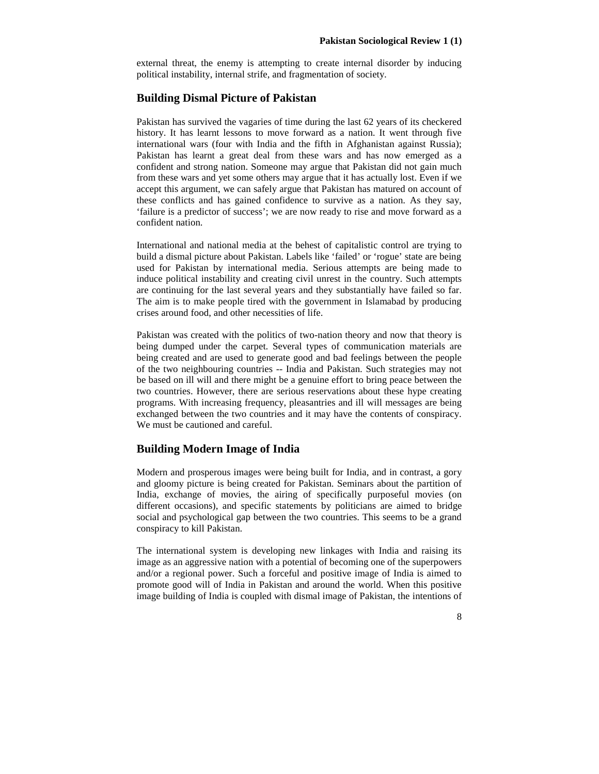external threat, the enemy is attempting to create internal disorder by inducing political instability, internal strife, and fragmentation of society.

### **Building Dismal Picture of Pakistan**

Pakistan has survived the vagaries of time during the last 62 years of its checkered history. It has learnt lessons to move forward as a nation. It went through five international wars (four with India and the fifth in Afghanistan against Russia); Pakistan has learnt a great deal from these wars and has now emerged as a confident and strong nation. Someone may argue that Pakistan did not gain much from these wars and yet some others may argue that it has actually lost. Even if we accept this argument, we can safely argue that Pakistan has matured on account of these conflicts and has gained confidence to survive as a nation. As they say, 'failure is a predictor of success'; we are now ready to rise and move forward as a confident nation.

International and national media at the behest of capitalistic control are trying to build a dismal picture about Pakistan. Labels like 'failed' or 'rogue' state are being used for Pakistan by international media. Serious attempts are being made to induce political instability and creating civil unrest in the country. Such attempts are continuing for the last several years and they substantially have failed so far. The aim is to make people tired with the government in Islamabad by producing crises around food, and other necessities of life.

Pakistan was created with the politics of two-nation theory and now that theory is being dumped under the carpet. Several types of communication materials are being created and are used to generate good and bad feelings between the people of the two neighbouring countries -- India and Pakistan. Such strategies may not be based on ill will and there might be a genuine effort to bring peace between the two countries. However, there are serious reservations about these hype creating programs. With increasing frequency, pleasantries and ill will messages are being exchanged between the two countries and it may have the contents of conspiracy. We must be cautioned and careful.

## **Building Modern Image of India**

Modern and prosperous images were being built for India, and in contrast, a gory and gloomy picture is being created for Pakistan. Seminars about the partition of India, exchange of movies, the airing of specifically purposeful movies (on different occasions), and specific statements by politicians are aimed to bridge social and psychological gap between the two countries. This seems to be a grand conspiracy to kill Pakistan.

The international system is developing new linkages with India and raising its image as an aggressive nation with a potential of becoming one of the superpowers and/or a regional power. Such a forceful and positive image of India is aimed to promote good will of India in Pakistan and around the world. When this positive image building of India is coupled with dismal image of Pakistan, the intentions of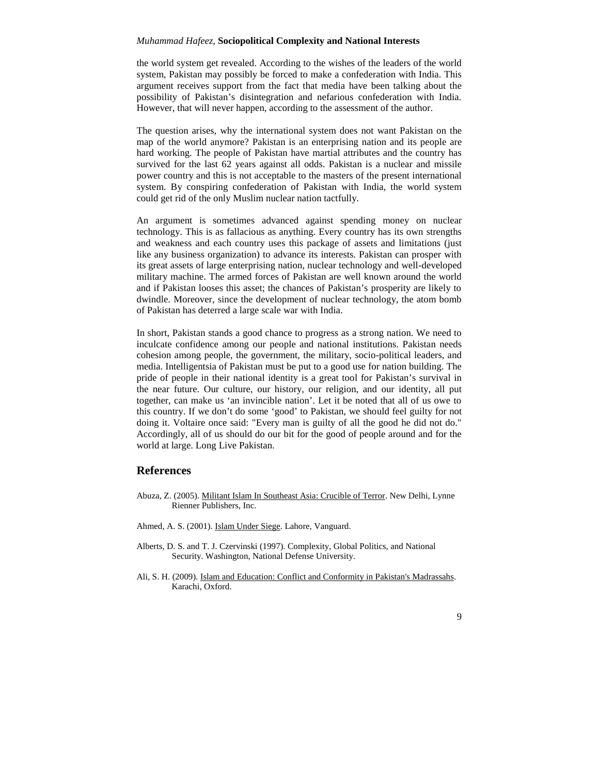the world system get revealed. According to the wishes of the leaders of the world system, Pakistan may possibly be forced to make a confederation with India. This argument receives support from the fact that media have been talking about the possibility of Pakistan's disintegration and nefarious confederation with India. However, that will never happen, according to the assessment of the author.

The question arises, why the international system does not want Pakistan on the map of the world anymore? Pakistan is an enterprising nation and its people are hard working. The people of Pakistan have martial attributes and the country has survived for the last 62 years against all odds. Pakistan is a nuclear and missile power country and this is not acceptable to the masters of the present international system. By conspiring confederation of Pakistan with India, the world system could get rid of the only Muslim nuclear nation tactfully.

An argument is sometimes advanced against spending money on nuclear technology. This is as fallacious as anything. Every country has its own strengths and weakness and each country uses this package of assets and limitations (just like any business organization) to advance its interests. Pakistan can prosper with its great assets of large enterprising nation, nuclear technology and well-developed military machine. The armed forces of Pakistan are well known around the world and if Pakistan looses this asset; the chances of Pakistan's prosperity are likely to dwindle. Moreover, since the development of nuclear technology, the atom bomb of Pakistan has deterred a large scale war with India.

In short, Pakistan stands a good chance to progress as a strong nation. We need to inculcate confidence among our people and national institutions. Pakistan needs cohesion among people, the government, the military, socio-political leaders, and media. Intelligentsia of Pakistan must be put to a good use for nation building. The pride of people in their national identity is a great tool for Pakistan's survival in the near future. Our culture, our history, our religion, and our identity, all put together, can make us 'an invincible nation'. Let it be noted that all of us owe to this country. If we don't do some 'good' to Pakistan, we should feel guilty for not doing it. Voltaire once said: "Every man is guilty of all the good he did not do." Accordingly, all of us should do our bit for the good of people around and for the world at large. Long Live Pakistan.

## **References**

- Abuza, Z. (2005). Militant Islam In Southeast Asia: Crucible of Terror. New Delhi, Lynne Rienner Publishers, Inc.
- Ahmed, A. S. (2001). Islam Under Siege. Lahore, Vanguard.
- Alberts, D. S. and T. J. Czervinski (1997). Complexity, Global Politics, and National Security. Washington, National Defense University.
- Ali, S. H. (2009). Islam and Education: Conflict and Conformity in Pakistan's Madrassahs. Karachi, Oxford.

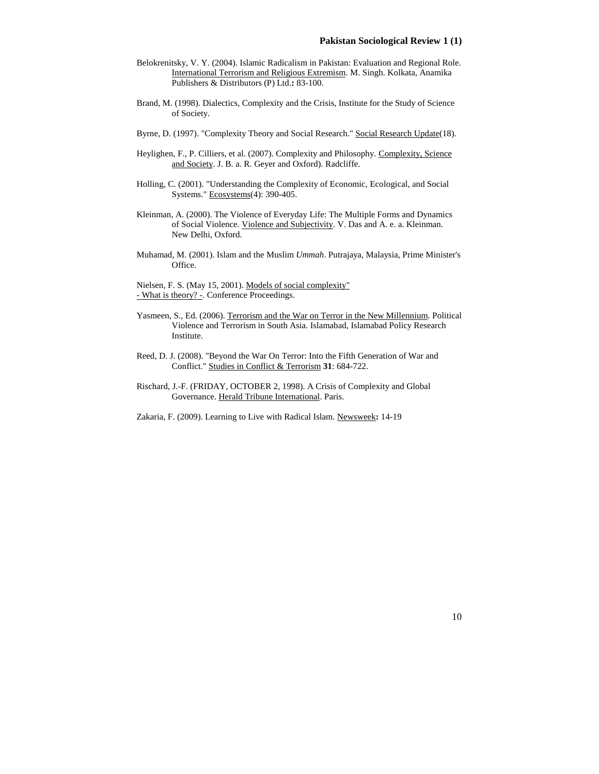- Belokrenitsky, V. Y. (2004). Islamic Radicalism in Pakistan: Evaluation and Regional Role. International Terrorism and Religious Extremism. M. Singh. Kolkata, Anamika Publishers & Distributors (P) Ltd.**:** 83-100.
- Brand, M. (1998). Dialectics, Complexity and the Crisis, Institute for the Study of Science of Society.
- Byrne, D. (1997). "Complexity Theory and Social Research." Social Research Update(18).
- Heylighen, F., P. Cilliers, et al. (2007). Complexity and Philosophy. Complexity, Science and Society. J. B. a. R. Geyer and Oxford). Radcliffe.
- Holling, C. (2001). "Understanding the Complexity of Economic, Ecological, and Social Systems." Ecosystems(4): 390-405.
- Kleinman, A. (2000). The Violence of Everyday Life: The Multiple Forms and Dynamics of Social Violence. Violence and Subjectivity. V. Das and A. e. a. Kleinman. New Delhi, Oxford.
- Muhamad, M. (2001). Islam and the Muslim *Ummah*. Putrajaya, Malaysia, Prime Minister's Office.

Nielsen, F. S. (May 15, 2001). Models of social complexity" - What is theory? -. Conference Proceedings.

- Yasmeen, S., Ed. (2006). Terrorism and the War on Terror in the New Millennium. Political Violence and Terrorism in South Asia. Islamabad, Islamabad Policy Research Institute.
- Reed, D. J. (2008). "Beyond the War On Terror: Into the Fifth Generation of War and Conflict." Studies in Conflict & Terrorism **31**: 684-722.
- Rischard, J.-F. (FRIDAY, OCTOBER 2, 1998). A Crisis of Complexity and Global Governance. Herald Tribune International. Paris.
- Zakaria, F. (2009). Learning to Live with Radical Islam. Newsweek**:** 14-19